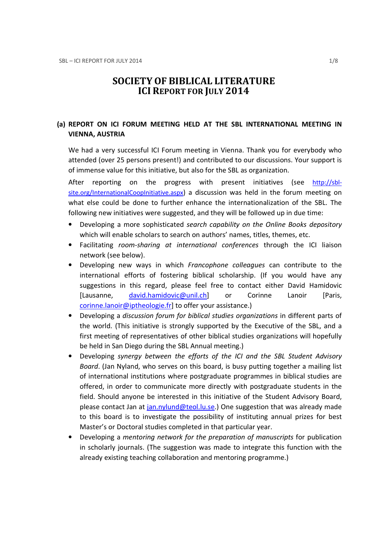# SOCIETY OF BIBLICAL LITERATURE ICI REPORT FOR JULY 2014

# (a) REPORT ON ICI FORUM MEETING HELD AT THE SBL INTERNATIONAL MEETING IN VIENNA, AUSTRIA

We had a very successful ICI Forum meeting in Vienna. Thank you for everybody who attended (over 25 persons present!) and contributed to our discussions. Your support is of immense value for this initiative, but also for the SBL as organization.

After reporting on the progress with present initiatives (see http://sblsite.org/InternationalCoopInitiative.aspx) a discussion was held in the forum meeting on what else could be done to further enhance the internationalization of the SBL. The following new initiatives were suggested, and they will be followed up in due time:

- Developing a more sophisticated search capability on the Online Books depository which will enable scholars to search on authors' names, titles, themes, etc.
- Facilitating room-sharing at international conferences through the ICI liaison network (see below).
- Developing new ways in which Francophone colleagues can contribute to the international efforts of fostering biblical scholarship. (If you would have any suggestions in this regard, please feel free to contact either David Hamidovic [Lausanne, david.hamidovic@unil.ch] or Corinne Lanoir [Paris, corinne.lanoir@iptheologie.fr] to offer your assistance.)
- Developing a discussion forum for biblical studies organizations in different parts of the world. (This initiative is strongly supported by the Executive of the SBL, and a first meeting of representatives of other biblical studies organizations will hopefully be held in San Diego during the SBL Annual meeting.)
- Developing synergy between the efforts of the ICI and the SBL Student Advisory Board. (Jan Nyland, who serves on this board, is busy putting together a mailing list of international institutions where postgraduate programmes in biblical studies are offered, in order to communicate more directly with postgraduate students in the field. Should anyone be interested in this initiative of the Student Advisory Board, please contact Jan at jan.nylund@teol.lu.se.) One suggestion that was already made to this board is to investigate the possibility of instituting annual prizes for best Master's or Doctoral studies completed in that particular year.
- Developing a mentoring network for the preparation of manuscripts for publication in scholarly journals. (The suggestion was made to integrate this function with the already existing teaching collaboration and mentoring programme.)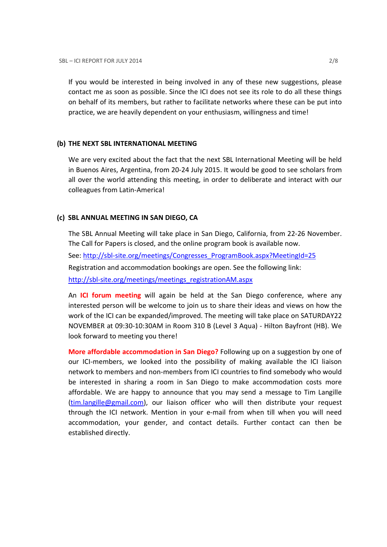If you would be interested in being involved in any of these new suggestions, please contact me as soon as possible. Since the ICI does not see its role to do all these things on behalf of its members, but rather to facilitate networks where these can be put into practice, we are heavily dependent on your enthusiasm, willingness and time!

#### (b) THE NEXT SBL INTERNATIONAL MEETING

We are very excited about the fact that the next SBL International Meeting will be held in Buenos Aires, Argentina, from 20-24 July 2015. It would be good to see scholars from all over the world attending this meeting, in order to deliberate and interact with our colleagues from Latin-America!

# (c) SBL ANNUAL MEETING IN SAN DIEGO, CA

The SBL Annual Meeting will take place in San Diego, California, from 22-26 November. The Call for Papers is closed, and the online program book is available now. See: http://sbl-site.org/meetings/Congresses\_ProgramBook.aspx?MeetingId=25 Registration and accommodation bookings are open. See the following link: http://sbl-site.org/meetings/meetings\_registrationAM.aspx

An ICI forum meeting will again be held at the San Diego conference, where any interested person will be welcome to join us to share their ideas and views on how the work of the ICI can be expanded/improved. The meeting will take place on SATURDAY22 NOVEMBER at 09:30-10:30AM in Room 310 B (Level 3 Aqua) - Hilton Bayfront (HB). We look forward to meeting you there!

More affordable accommodation in San Diego? Following up on a suggestion by one of our ICI-members, we looked into the possibility of making available the ICI liaison network to members and non-members from ICI countries to find somebody who would be interested in sharing a room in San Diego to make accommodation costs more affordable. We are happy to announce that you may send a message to Tim Langille (tim.langille@gmail.com), our liaison officer who will then distribute your request through the ICI network. Mention in your e-mail from when till when you will need accommodation, your gender, and contact details. Further contact can then be established directly.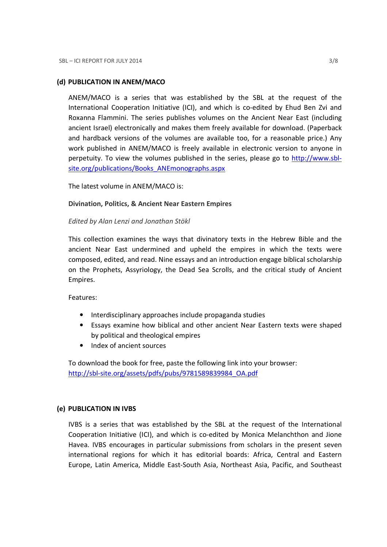# (d) PUBLICATION IN ANEM/MACO

ANEM/MACO is a series that was established by the SBL at the request of the International Cooperation Initiative (ICI), and which is co-edited by Ehud Ben Zvi and Roxanna Flammini. The series publishes volumes on the Ancient Near East (including ancient Israel) electronically and makes them freely available for download. (Paperback and hardback versions of the volumes are available too, for a reasonable price.) Any work published in ANEM/MACO is freely available in electronic version to anyone in perpetuity. To view the volumes published in the series, please go to http://www.sblsite.org/publications/Books\_ANEmonographs.aspx

The latest volume in ANEM/MACO is:

# Divination, Politics, & Ancient Near Eastern Empires

# Edited by Alan Lenzi and Jonathan Stökl

This collection examines the ways that divinatory texts in the Hebrew Bible and the ancient Near East undermined and upheld the empires in which the texts were composed, edited, and read. Nine essays and an introduction engage biblical scholarship on the Prophets, Assyriology, the Dead Sea Scrolls, and the critical study of Ancient Empires.

Features:

- Interdisciplinary approaches include propaganda studies
- Essays examine how biblical and other ancient Near Eastern texts were shaped by political and theological empires
- Index of ancient sources

To download the book for free, paste the following link into your browser: http://sbl-site.org/assets/pdfs/pubs/9781589839984\_OA.pdf

# (e) PUBLICATION IN IVBS

IVBS is a series that was established by the SBL at the request of the International Cooperation Initiative (ICI), and which is co-edited by Monica Melanchthon and Jione Havea. IVBS encourages in particular submissions from scholars in the present seven international regions for which it has editorial boards: Africa, Central and Eastern Europe, Latin America, Middle East-South Asia, Northeast Asia, Pacific, and Southeast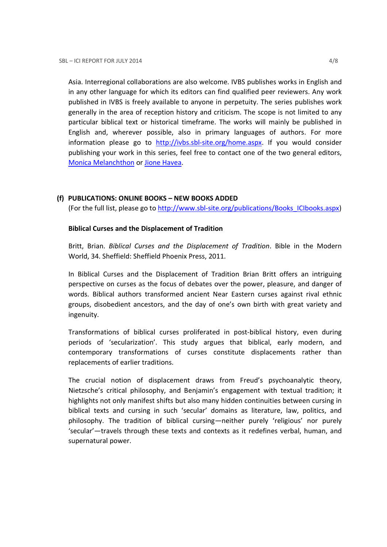Asia. Interregional collaborations are also welcome. IVBS publishes works in English and in any other language for which its editors can find qualified peer reviewers. Any work published in IVBS is freely available to anyone in perpetuity. The series publishes work generally in the area of reception history and criticism. The scope is not limited to any particular biblical text or historical timeframe. The works will mainly be published in English and, wherever possible, also in primary languages of authors. For more information please go to http://ivbs.sbl-site.org/home.aspx. If you would consider publishing your work in this series, feel free to contact one of the two general editors, Monica Melanchthon or Jione Havea.

# (f) PUBLICATIONS: ONLINE BOOKS – NEW BOOKS ADDED

(For the full list, please go to http://www.sbl-site.org/publications/Books\_ICIbooks.aspx)

# Biblical Curses and the Displacement of Tradition

Britt, Brian. Biblical Curses and the Displacement of Tradition. Bible in the Modern World, 34. Sheffield: Sheffield Phoenix Press, 2011.

In Biblical Curses and the Displacement of Tradition Brian Britt offers an intriguing perspective on curses as the focus of debates over the power, pleasure, and danger of words. Biblical authors transformed ancient Near Eastern curses against rival ethnic groups, disobedient ancestors, and the day of one's own birth with great variety and ingenuity.

Transformations of biblical curses proliferated in post-biblical history, even during periods of 'secularization'. This study argues that biblical, early modern, and contemporary transformations of curses constitute displacements rather than replacements of earlier traditions.

The crucial notion of displacement draws from Freud's psychoanalytic theory, Nietzsche's critical philosophy, and Benjamin's engagement with textual tradition; it highlights not only manifest shifts but also many hidden continuities between cursing in biblical texts and cursing in such 'secular' domains as literature, law, politics, and philosophy. The tradition of biblical cursing—neither purely 'religious' nor purely 'secular'—travels through these texts and contexts as it redefines verbal, human, and supernatural power.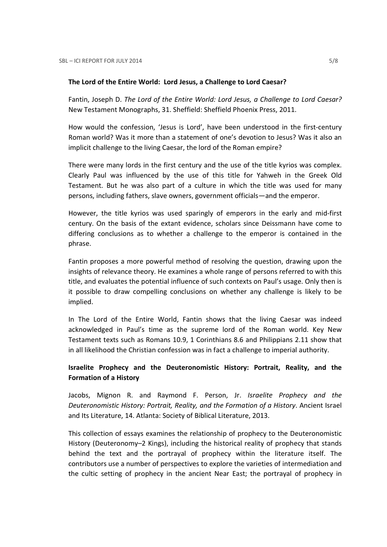#### The Lord of the Entire World: Lord Jesus, a Challenge to Lord Caesar?

Fantin, Joseph D. The Lord of the Entire World: Lord Jesus, a Challenge to Lord Caesar? New Testament Monographs, 31. Sheffield: Sheffield Phoenix Press, 2011.

How would the confession, 'Jesus is Lord', have been understood in the first-century Roman world? Was it more than a statement of one's devotion to Jesus? Was it also an implicit challenge to the living Caesar, the lord of the Roman empire?

There were many lords in the first century and the use of the title kyrios was complex. Clearly Paul was influenced by the use of this title for Yahweh in the Greek Old Testament. But he was also part of a culture in which the title was used for many persons, including fathers, slave owners, government officials—and the emperor.

However, the title kyrios was used sparingly of emperors in the early and mid-first century. On the basis of the extant evidence, scholars since Deissmann have come to differing conclusions as to whether a challenge to the emperor is contained in the phrase.

Fantin proposes a more powerful method of resolving the question, drawing upon the insights of relevance theory. He examines a whole range of persons referred to with this title, and evaluates the potential influence of such contexts on Paul's usage. Only then is it possible to draw compelling conclusions on whether any challenge is likely to be implied.

In The Lord of the Entire World, Fantin shows that the living Caesar was indeed acknowledged in Paul's time as the supreme lord of the Roman world. Key New Testament texts such as Romans 10.9, 1 Corinthians 8.6 and Philippians 2.11 show that in all likelihood the Christian confession was in fact a challenge to imperial authority.

# Israelite Prophecy and the Deuteronomistic History: Portrait, Reality, and the Formation of a History

Jacobs, Mignon R. and Raymond F. Person, Jr. Israelite Prophecy and the Deuteronomistic History: Portrait, Reality, and the Formation of a History. Ancient Israel and Its Literature, 14. Atlanta: Society of Biblical Literature, 2013.

This collection of essays examines the relationship of prophecy to the Deuteronomistic History (Deuteronomy–2 Kings), including the historical reality of prophecy that stands behind the text and the portrayal of prophecy within the literature itself. The contributors use a number of perspectives to explore the varieties of intermediation and the cultic setting of prophecy in the ancient Near East; the portrayal of prophecy in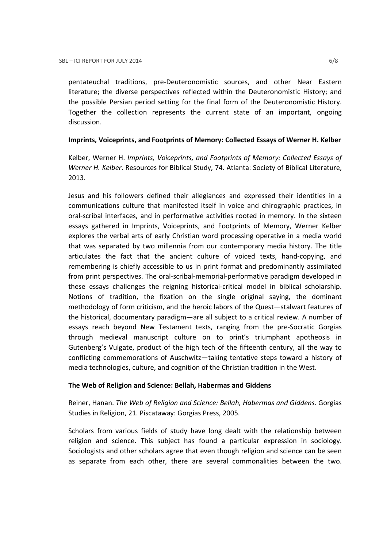pentateuchal traditions, pre-Deuteronomistic sources, and other Near Eastern literature; the diverse perspectives reflected within the Deuteronomistic History; and the possible Persian period setting for the final form of the Deuteronomistic History. Together the collection represents the current state of an important, ongoing discussion.

# Imprints, Voiceprints, and Footprints of Memory: Collected Essays of Werner H. Kelber

Kelber, Werner H. Imprints, Voiceprints, and Footprints of Memory: Collected Essays of Werner H. Kelber. Resources for Biblical Study, 74. Atlanta: Society of Biblical Literature, 2013.

Jesus and his followers defined their allegiances and expressed their identities in a communications culture that manifested itself in voice and chirographic practices, in oral-scribal interfaces, and in performative activities rooted in memory. In the sixteen essays gathered in Imprints, Voiceprints, and Footprints of Memory, Werner Kelber explores the verbal arts of early Christian word processing operative in a media world that was separated by two millennia from our contemporary media history. The title articulates the fact that the ancient culture of voiced texts, hand-copying, and remembering is chiefly accessible to us in print format and predominantly assimilated from print perspectives. The oral-scribal-memorial-performative paradigm developed in these essays challenges the reigning historical-critical model in biblical scholarship. Notions of tradition, the fixation on the single original saying, the dominant methodology of form criticism, and the heroic labors of the Quest—stalwart features of the historical, documentary paradigm—are all subject to a critical review. A number of essays reach beyond New Testament texts, ranging from the pre-Socratic Gorgias through medieval manuscript culture on to print's triumphant apotheosis in Gutenberg's Vulgate, product of the high tech of the fifteenth century, all the way to conflicting commemorations of Auschwitz—taking tentative steps toward a history of media technologies, culture, and cognition of the Christian tradition in the West.

# The Web of Religion and Science: Bellah, Habermas and Giddens

Reiner, Hanan. The Web of Religion and Science: Bellah, Habermas and Giddens. Gorgias Studies in Religion, 21. Piscataway: Gorgias Press, 2005.

Scholars from various fields of study have long dealt with the relationship between religion and science. This subject has found a particular expression in sociology. Sociologists and other scholars agree that even though religion and science can be seen as separate from each other, there are several commonalities between the two.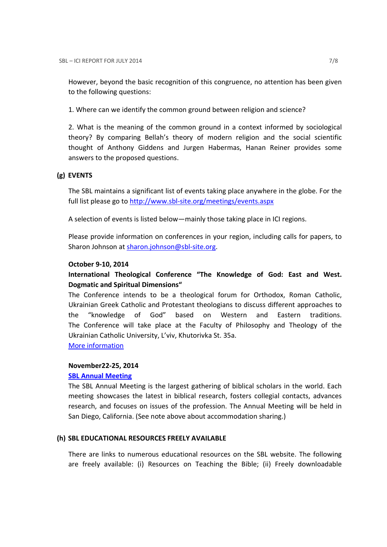However, beyond the basic recognition of this congruence, no attention has been given to the following questions:

1. Where can we identify the common ground between religion and science?

2. What is the meaning of the common ground in a context informed by sociological theory? By comparing Bellah's theory of modern religion and the social scientific thought of Anthony Giddens and Jurgen Habermas, Hanan Reiner provides some answers to the proposed questions.

# (g) EVENTS

The SBL maintains a significant list of events taking place anywhere in the globe. For the full list please go to http://www.sbl-site.org/meetings/events.aspx

A selection of events is listed below—mainly those taking place in ICI regions.

Please provide information on conferences in your region, including calls for papers, to Sharon Johnson at sharon.johnson@sbl-site.org.

#### October 9-10, 2014

International Theological Conference "The Knowledge of God: East and West. Dogmatic and Spiritual Dimensions"

The Conference intends to be a theological forum for Orthodox, Roman Catholic, Ukrainian Greek Catholic and Protestant theologians to discuss different approaches to the "knowledge of God" based on Western and Eastern traditions. The Conference will take place at the Faculty of Philosophy and Theology of the Ukrainian Catholic University, L'viv, Khutorivka St. 35a.

More information

# November22-25, 2014

# SBL Annual Meeting

The SBL Annual Meeting is the largest gathering of biblical scholars in the world. Each meeting showcases the latest in biblical research, fosters collegial contacts, advances research, and focuses on issues of the profession. The Annual Meeting will be held in San Diego, California. (See note above about accommodation sharing.)

#### (h) SBL EDUCATIONAL RESOURCES FREELY AVAILABLE

There are links to numerous educational resources on the SBL website. The following are freely available: (i) Resources on Teaching the Bible; (ii) Freely downloadable